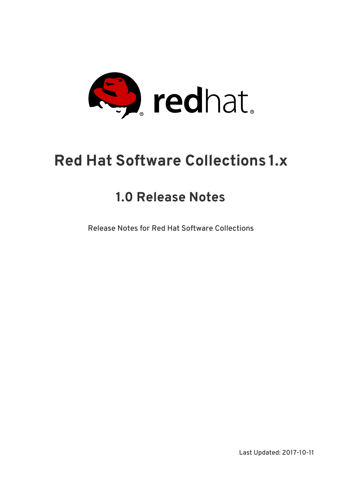

# **Red Hat Software Collections 1.x**

# **1.0 Release Notes**

Release Notes for Red Hat Software Collections

Last Updated: 2017-10-11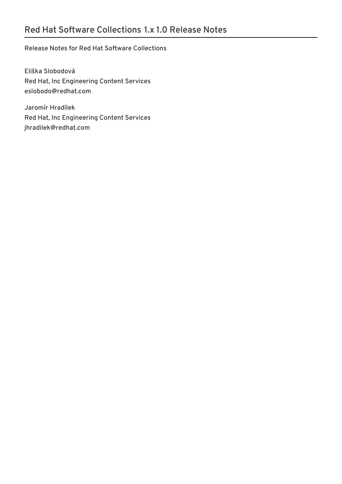### Release Notes for Red Hat Software Collections

Eliška Slobodová Red Hat, Inc Engineering Content Services eslobodo@redhat.com

Jaromír Hradílek Red Hat, Inc Engineering Content Services jhradilek@redhat.com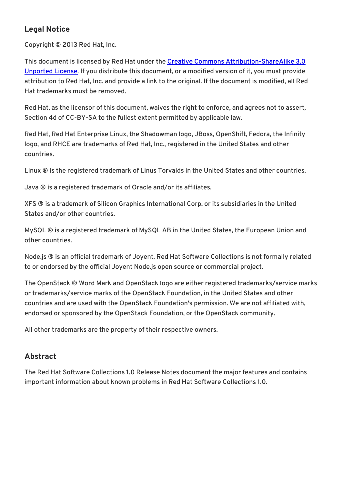### **Legal Notice**

Copyright © 2013 Red Hat, Inc.

This document is licensed by Red Hat under the Creative Commons [Attribution-ShareAlike](http://creativecommons.org/licenses/by-sa/3.0/) 3.0 Unported License. If you distribute this document, or a modified version of it, you must provide attribution to Red Hat, Inc. and provide a link to the original. If the document is modified, all Red Hat trademarks must be removed.

Red Hat, as the licensor of this document, waives the right to enforce, and agrees not to assert, Section 4d of CC-BY-SA to the fullest extent permitted by applicable law.

Red Hat, Red Hat Enterprise Linux, the Shadowman logo, JBoss, OpenShift, Fedora, the Infinity logo, and RHCE are trademarks of Red Hat, Inc., registered in the United States and other countries.

Linux ® is the registered trademark of Linus Torvalds in the United States and other countries.

Java ® is a registered trademark of Oracle and/or its affiliates.

XFS ® is a trademark of Silicon Graphics International Corp. or its subsidiaries in the United States and/or other countries.

MySQL ® is a registered trademark of MySQL AB in the United States, the European Union and other countries.

Node.js ® is an official trademark of Joyent. Red Hat Software Collections is not formally related to or endorsed by the official Joyent Node.js open source or commercial project.

The OpenStack ® Word Mark and OpenStack logo are either registered trademarks/service marks or trademarks/service marks of the OpenStack Foundation, in the United States and other countries and are used with the OpenStack Foundation's permission. We are not affiliated with, endorsed or sponsored by the OpenStack Foundation, or the OpenStack community.

All other trademarks are the property of their respective owners.

### **Abstract**

The Red Hat Software Collections 1.0 Release Notes document the major features and contains important information about known problems in Red Hat Software Collections 1.0.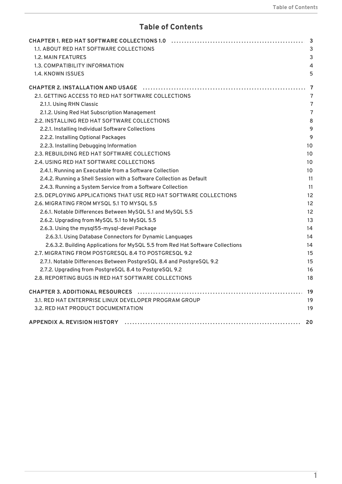### **Table of Contents**

| 1.1. ABOUT RED HAT SOFTWARE COLLECTIONS                                                                        |    |
|----------------------------------------------------------------------------------------------------------------|----|
| <b>1.2. MAIN FEATURES</b>                                                                                      |    |
| 1.3. COMPATIBILITY INFORMATION                                                                                 |    |
| <b>1.4. KNOWN ISSUES</b>                                                                                       |    |
| CHAPTER 2. INSTALLATION AND USAGE (additionational contract and the contract of the contract of the contract o |    |
| 2.1. GETTING ACCESS TO RED HAT SOFTWARE COLLECTIONS                                                            |    |
| 2.1.1. Using RHN Classic                                                                                       |    |
| 2.1.2. Using Red Hat Subscription Management                                                                   |    |
| 2.2. INSTALLING RED HAT SOFTWARE COLLECTIONS                                                                   |    |
| 2.2.1. Installing Individual Software Collections                                                              |    |
| 2.2.2. Installing Optional Packages                                                                            |    |
| 2.2.3. Installing Debugging Information                                                                        |    |
| 2.3. REBUILDING RED HAT SOFTWARE COLLECTIONS                                                                   | 10 |
| 2.4. USING RED HAT SOFTWARE COLLECTIONS                                                                        | 10 |
| 2.4.1. Running an Executable from a Software Collection                                                        | 10 |
| 2.4.2. Running a Shell Session with a Software Collection as Default                                           |    |
| 2.4.3. Running a System Service from a Software Collection                                                     |    |
| 2.5. DEPLOYING APPLICATIONS THAT USE RED HAT SOFTWARE COLLECTIONS                                              | 12 |
| 2.6. MIGRATING FROM MYSQL 5.1 TO MYSQL 5.5                                                                     | 12 |
| 2.6.1. Notable Differences Between MySQL 5.1 and MySQL 5.5                                                     | 12 |
| 2.6.2. Upgrading from MySQL 5.1 to MySQL 5.5                                                                   | 13 |
| 2.6.3. Using the mysql55-mysql-devel Package                                                                   | 14 |
| 2.6.3.1. Using Database Connectors for Dynamic Languages                                                       | 14 |
| 2.6.3.2. Building Applications for MySQL 5.5 from Red Hat Software Collections                                 | 14 |
| 2.7. MIGRATING FROM POSTGRESQL 8.4 TO POSTGRESQL 9.2                                                           | 15 |
| 2.7.1. Notable Differences Between PostgreSQL 8.4 and PostgreSQL 9.2                                           | 15 |
| 2.7.2. Upgrading from PostgreSQL 8.4 to PostgreSQL 9.2                                                         | 16 |
| 2.8. REPORTING BUGS IN RED HAT SOFTWARE COLLECTIONS                                                            | 18 |
|                                                                                                                |    |
| 3.1. RED HAT ENTERPRISE LINUX DEVELOPER PROGRAM GROUP                                                          | 19 |
| 3.2. RED HAT PRODUCT DOCUMENTATION                                                                             | 19 |
|                                                                                                                |    |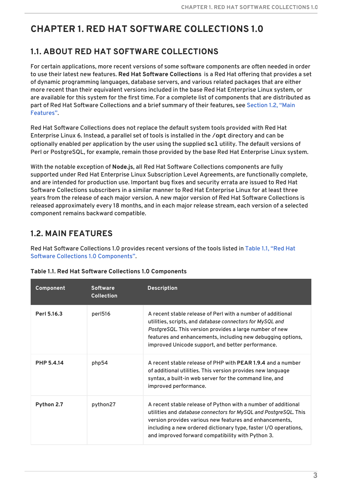# <span id="page-6-0"></span>**CHAPTER 1. RED HAT SOFTWARE COLLECTIONS 1.0**

# <span id="page-6-1"></span>**1.1. ABOUT RED HAT SOFTWARE COLLECTIONS**

For certain applications, more recent versions of some software components are often needed in order to use their latest new features. **Red Hat Software Collections** is a Red Hat offering that provides a set of dynamic programming languages, database servers, and various related packages that are either more recent than their equivalent versions included in the base Red Hat Enterprise Linux system, or are available for this system for the first time. For a complete list of components that are distributed as part of Red Hat Software [Collections](#page-7-1) and a brief summary of their features, see Section 1.2, "Main Features".

Red Hat Software Collections does not replace the default system tools provided with Red Hat Enterprise Linux 6. Instead, a parallel set of tools is installed in the **/opt** directory and can be optionally enabled per application by the user using the supplied **scl** utility. The default versions of Perl or PostgreSQL, for example, remain those provided by the base Red Hat Enterprise Linux system.

With the notable exception of **Node.js**, all Red Hat Software Collections components are fully supported under Red Hat Enterprise Linux Subscription Level Agreements, are functionally complete, and are intended for production use. Important bug fixes and security errata are issued to Red Hat Software Collections subscribers in a similar manner to Red Hat Enterprise Linux for at least three years from the release of each major version. A new major version of Red Hat Software Collections is released approximately every 18 months, and in each major release stream, each version of a selected component remains backward compatible.

# <span id="page-6-2"></span>**1.2. MAIN FEATURES**

Red Hat Software Collections 1.0 provides recent versions of the tools listed in Table 1.1, "Red Hat Software Collections 1.0 [Components".](#page-7-2)

| Component         | <b>Software</b><br><b>Collection</b> | <b>Description</b>                                                                                                                                                                                                                                                                                                           |
|-------------------|--------------------------------------|------------------------------------------------------------------------------------------------------------------------------------------------------------------------------------------------------------------------------------------------------------------------------------------------------------------------------|
| Perl 5.16.3       | perl516                              | A recent stable release of Perl with a number of additional<br>utilities, scripts, and database connectors for MySQL and<br>PostgreSQL. This version provides a large number of new<br>features and enhancements, including new debugging options,<br>improved Unicode support, and better performance.                      |
| <b>PHP 5.4.14</b> | php54                                | A recent stable release of PHP with <b>PEAR 1.9.4</b> and a number<br>of additional utilities. This version provides new language<br>syntax, a built-in web server for the command line, and<br>improved performance.                                                                                                        |
| Python 2.7        | python27                             | A recent stable release of Python with a number of additional<br>utilities and <i>database connectors for MySQL and PostgreSQL</i> . This<br>version provides various new features and enhancements,<br>including a new ordered dictionary type, faster I/O operations,<br>and improved forward compatibility with Python 3. |

**Table 1.1. Red Hat Software Collections 1.0 Components**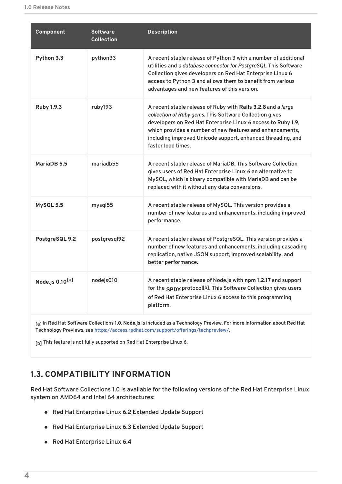<span id="page-7-2"></span><span id="page-7-1"></span>

| Component                   | <b>Software</b><br><b>Collection</b> | <b>Description</b>                                                                                                                                                                                                                                                                                                                        |
|-----------------------------|--------------------------------------|-------------------------------------------------------------------------------------------------------------------------------------------------------------------------------------------------------------------------------------------------------------------------------------------------------------------------------------------|
| Python 3.3                  | python33                             | A recent stable release of Python 3 with a number of additional<br>utilities and a database connector for PostgreSQL This Software<br>Collection gives developers on Red Hat Enterprise Linux 6<br>access to Python 3 and allows them to benefit from various<br>advantages and new features of this version.                             |
| <b>Ruby 1.9.3</b>           | ruby193                              | A recent stable release of Ruby with Rails 3.2.8 and a large<br>collection of Ruby gems. This Software Collection gives<br>developers on Red Hat Enterprise Linux 6 access to Ruby 1.9,<br>which provides a number of new features and enhancements,<br>including improved Unicode support, enhanced threading, and<br>faster load times. |
| MariaDB 5.5                 | mariadb55                            | A recent stable release of MariaDB. This Software Collection<br>gives users of Red Hat Enterprise Linux 6 an alternative to<br>MySQL, which is binary compatible with MariaDB and can be<br>replaced with it without any data conversions.                                                                                                |
| MySQL 5.5                   | mysql55                              | A recent stable release of MySQL. This version provides a<br>number of new features and enhancements, including improved<br>performance.                                                                                                                                                                                                  |
| PostgreSQL 9.2              | postgresql92                         | A recent stable release of PostgreSQL. This version provides a<br>number of new features and enhancements, including cascading<br>replication, native JSON support, improved scalability, and<br>better performance.                                                                                                                      |
| Node.js 0.10 <sup>[a]</sup> | nodejs010                            | A recent stable release of Node.js with npm 1.2.17 and support<br>for the SPDY protocol[b]. This Software Collection gives users<br>of Red Hat Enterprise Linux 6 access to this programming<br>platform.                                                                                                                                 |
|                             |                                      |                                                                                                                                                                                                                                                                                                                                           |

<span id="page-7-6"></span><span id="page-7-5"></span><span id="page-7-3"></span>[\[a\]](#page-7-5) In Red Hat Software Collections 1.0, **Node.js** is included as a Technology Preview. For more information about Red Hat Technology Previews, see [https://access.redhat.com/support/offerings/techpreview/.](https://access.redhat.com/support/offerings/techpreview/)

<span id="page-7-4"></span>[\[b\]](#page-7-6) This feature is not fully supported on Red Hat Enterprise Linux 6.

### <span id="page-7-0"></span>**1.3. COMPATIBILITY INFORMATION**

Red Hat Software Collections 1.0 is available for the following versions of the Red Hat Enterprise Linux system on AMD64 and Intel 64 architectures:

- Red Hat Enterprise Linux 6.2 Extended Update Support
- Red Hat Enterprise Linux 6.3 Extended Update Support
- Red Hat Enterprise Linux 6.4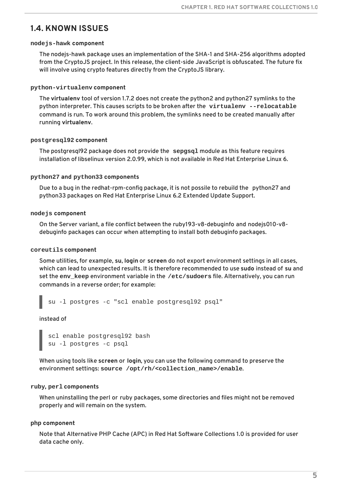### <span id="page-8-0"></span>**1.4. KNOWN ISSUES**

#### **nodejs-hawk component**

The nodejs-hawk package uses an implementation of the SHA-1 and SHA-256 algorithms adopted from the CryptoJS project. In this release, the client-side JavaScript is obfuscated. The future fix will involve using crypto features directly from the CryptoJS library.

#### **python-virtualenv component**

The **virtualenv** tool of version 1.7.2 does not create the python2 and python27 symlinks to the python interpreter. This causes scripts to be broken after the **virtualenv --relocatable** command is run. To work around this problem, the symlinks need to be created manually after running **virtualenv**.

#### **postgresql92 component**

The postgresql92 package does not provide the **sepgsql** module as this feature requires installation of libselinux version 2.0.99, which is not available in Red Hat Enterprise Linux 6.

#### **python27 and python33 components**

Due to a bug in the redhat-rpm-config package, it is not possile to rebuild the python27 and python33 packages on Red Hat Enterprise Linux 6.2 Extended Update Support.

#### **nodejs component**

On the Server variant, a file conflict between the ruby193-v8-debuginfo and nodejs010-v8 debuginfo packages can occur when attempting to install both debuginfo packages.

#### **coreutils component**

Some utilities, for example, **su**, **login** or **screen** do not export environment settings in all cases, which can lead to unexpected results. It is therefore recommended to use **sudo** instead of **su** and set the **env\_keep** environment variable in the **/etc/sudoers** file. Alternatively, you can run commands in a reverse order; for example:

su -l postgres -c "scl enable postgresql92 psql"

instead of

```
scl enable postgresql92 bash
su -l postgres -c psql
```
When using tools like **screen** or **login**, you can use the following command to preserve the environment settings: **source /opt/rh/<collection\_name>/enable**.

#### **ruby, perl components**

When uninstalling the perl or ruby packages, some directories and files might not be removed properly and will remain on the system.

#### **php component**

Note that Alternative PHP Cache (APC) in Red Hat Software Collections 1.0 is provided for user data cache only.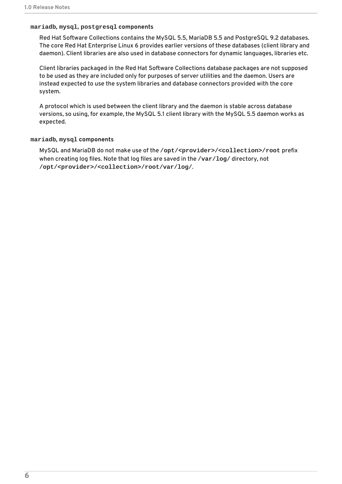#### **mariadb, mysql, postgresql components**

Red Hat Software Collections contains the MySQL 5.5, MariaDB 5.5 and PostgreSQL 9.2 databases. The core Red Hat Enterprise Linux 6 provides earlier versions of these databases (client library and daemon). Client libraries are also used in database connectors for dynamic languages, libraries etc.

Client libraries packaged in the Red Hat Software Collections database packages are not supposed to be used as they are included only for purposes of server utilities and the daemon. Users are instead expected to use the system libraries and database connectors provided with the core system.

A protocol which is used between the client library and the daemon is stable across database versions, so using, for example, the MySQL 5.1 client library with the MySQL 5.5 daemon works as expected.

#### **mariadb, mysql components**

MySQL and MariaDB do not make use of the **/opt/<provider>/<collection>/root** prefix when creating log files. Note that log files are saved in the **/var/log/** directory, not **/opt/<provider>/<collection>/root/var/log/**.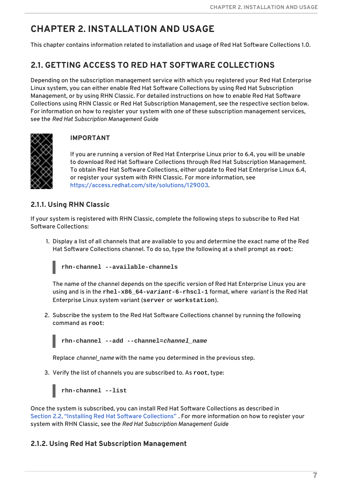# <span id="page-10-0"></span>**CHAPTER 2. INSTALLATION AND USAGE**

This chapter contains information related to installation and usage of Red Hat Software Collections 1.0.

### <span id="page-10-1"></span>**2.1. GETTING ACCESS TO RED HAT SOFTWARE COLLECTIONS**

Depending on the subscription management service with which you registered your Red Hat Enterprise Linux system, you can either enable Red Hat Software Collections by using Red Hat Subscription Management, or by using RHN Classic. For detailed instructions on how to enable Red Hat Software Collections using RHN Classic or Red Hat Subscription Management, see the respective section below. For information on how to register your system with one of these subscription management services, see the *Red Hat Subscription Management Guide*.



### **IMPORTANT**

If you are running a version of Red Hat Enterprise Linux prior to 6.4, you will be unable to download Red Hat Software Collections through Red Hat Subscription Management. To obtain Red Hat Software Collections, either update to Red Hat Enterprise Linux 6.4, or register your system with RHN Classic. For more information, see <https://access.redhat.com/site/solutions/129003>.

### <span id="page-10-2"></span>**2.1.1. Using RHN Classic**

If your system is registered with RHN Classic, complete the following steps to subscribe to Red Hat Software Collections:

1. Display a list of all channels that are available to you and determine the exact name of the Red Hat Software Collections channel. To do so, type the following at a shell prompt as **root**:



The name of the channel depends on the specific version of Red Hat Enterprise Linux you are using and is in the **rhel-x86\_64-***variant***-6-rhscl-1** format, where *variant* is the Red Hat Enterprise Linux system variant (**server** or **workstation**).

2. Subscribe the system to the Red Hat Software Collections channel by running the following command as **root**:

**rhn-channel --add --channel=***channel\_name*

Replace *channel\_name* with the name you determined in the previous step.

3. Verify the list of channels you are subscribed to. As **root**, type:

**rhn-channel --list**

Once the system is subscribed, you can install Red Hat Software Collections as described in Section 2.2, "Installing Red Hat Software [Collections"](#page-12-2) . For more information on how to register your system with RHN Classic, see the *Red Hat Subscription Management Guide*.

### <span id="page-10-3"></span>**2.1.2. Using Red Hat Subscription Management**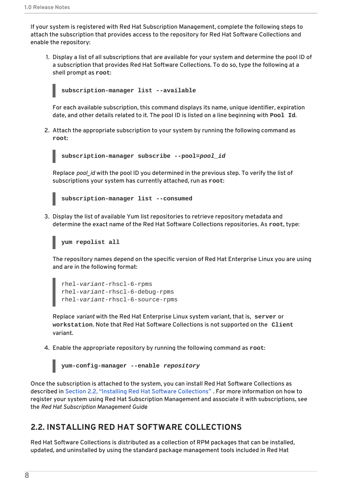<span id="page-11-1"></span>If your system is registered with Red Hat Subscription Management, complete the following steps to attach the subscription that provides access to the repository for Red Hat Software Collections and enable the repository:

1. Display a list of all subscriptions that are available for your system and determine the pool ID of a subscription that provides Red Hat Software Collections. To do so, type the following at a shell prompt as **root**:



For each available subscription, this command displays its name, unique identifier, expiration date, and other details related to it. The pool ID is listed on a line beginning with **Pool Id**.

2. Attach the appropriate subscription to your system by running the following command as **root**:

```
subscription-manager subscribe --pool=pool_id
```
Replace *pool id* with the pool ID you determined in the previous step. To verify the list of subscriptions your system has currently attached, run as **root**:



3. Display the list of available Yum list repositories to retrieve repository metadata and determine the exact name of the Red Hat Software Collections repositories. As **root**, type:

### **yum repolist all**

The repository names depend on the specific version of Red Hat Enterprise Linux you are using and are in the following format:

```
rhel-variant-rhscl-6-rpms
rhel-variant-rhscl-6-debug-rpms
rhel-variant-rhscl-6-source-rpms
```
Replace *variant* with the Red Hat Enterprise Linux system variant, that is, **server** or **workstation**. Note that Red Hat Software Collections is not supported on the **Client** variant.

4. Enable the appropriate repository by running the following command as **root**:

```
yum-config-manager --enable repository
```
Once the subscription is attached to the system, you can install Red Hat Software Collections as described in Section 2.2, "Installing Red Hat Software [Collections"](#page-12-2) . For more information on how to register your system using Red Hat Subscription Management and associate it with subscriptions, see the *Red Hat Subscription Management Guide*.

### <span id="page-11-0"></span>**2.2. INSTALLING RED HAT SOFTWARE COLLECTIONS**

Red Hat Software Collections is distributed as a collection of RPM packages that can be installed, updated, and uninstalled by using the standard package management tools included in Red Hat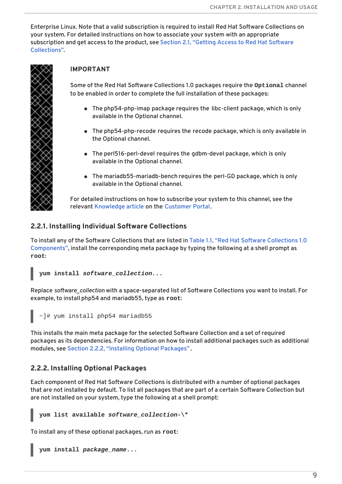<span id="page-12-2"></span>Enterprise Linux. Note that a valid subscription is required to install Red Hat Software Collections on your system. For detailed instructions on how to associate your system with an appropriate subscription and get access to the product, see Section 2.1, "Getting Access to Red Hat Software [Collections".](#page-10-1)



### **IMPORTANT**

Some of the Red Hat Software Collections 1.0 packages require the **Optional** channel to be enabled in order to complete the full installation of these packages:

- The php54-php-imap package requires the libc-client package, which is only available in the Optional channel.
- The php54-php-recode requires the recode package, which is only available in the Optional channel.
- The perl516-perl-devel requires the gdbm-devel package, which is only available in the Optional channel.
- The mariadb55-mariadb-bench requires the perl-GD package, which is only available in the Optional channel.

For detailed instructions on how to subscribe your system to this channel, see the relevant [Knowledge](https://access.redhat.com/site/solutions/70019) article on the [Customer](https://access.redhat.com/) Portal.

### <span id="page-12-0"></span>**2.2.1. Installing Individual Software Collections**

To install any of the Software Collections that are listed in Table 1.1, "Red Hat Software Collections 1.0 Components", install the [corresponding](#page-7-2) meta package by typing the following at a shell prompt as **root**:

```
yum install software_collection...
```
Replace *software\_collection* with a space-separated list of Software Collections you want to install. For example, to install php54 and mariadb55, type as **root**:

```
~]# yum install php54 mariadb55
```
This installs the main meta package for the selected Software Collection and a set of required packages as its dependencies. For information on how to install additional packages such as additional modules, see Section 2.2.2, "Installing Optional [Packages"](#page-12-1) .

### <span id="page-12-1"></span>**2.2.2. Installing Optional Packages**

Each component of Red Hat Software Collections is distributed with a number of optional packages that are not installed by default. To list all packages that are part of a certain Software Collection but are not installed on your system, type the following at a shell prompt:

**yum list available** *software\_collection***-\\***

To install any of these optional packages, run as **root**:

**yum install** *package\_name***...**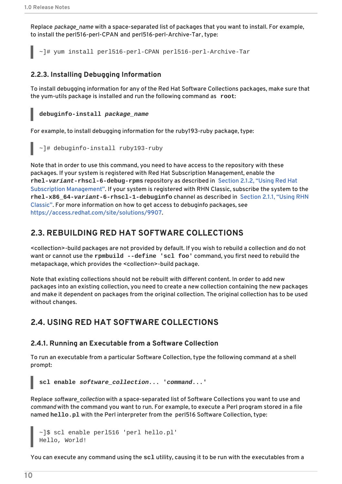Replace *package\_name* with a space-separated list of packages that you want to install. For example, to install the perl516-perl-CPAN and perl516-perl-Archive-Tar, type:

~]# yum install perl516-perl-CPAN perl516-perl-Archive-Tar

### <span id="page-13-0"></span>**2.2.3. Installing Debugging Information**

To install debugging information for any of the Red Hat Software Collections packages, make sure that the yum-utils package is installed and run the following command as **root**:

### **debuginfo-install** *package\_name*

For example, to install debugging information for the ruby193-ruby package, type:

~]# debuginfo-install ruby193-ruby

Note that in order to use this command, you need to have access to the repository with these packages. If your system is registered with Red Hat Subscription Management, enable the **rhel-***variant***[-rhscl-6-debug-rpms](#page-11-1)** repository as described in Section 2.1.2, "Using Red Hat Subscription Management". If your system is registered with RHN Classic, subscribe the system to the **rhel-x86\_64-***variant***[-6-rhscl-1-debuginfo](#page-10-2)** channel as described in Section 2.1.1, "Using RHN Classic". For more information on how to get access to debuginfo packages, see [https://access.redhat.com/site/solutions/9907.](https://access.redhat.com/site/solutions/9907)

### <span id="page-13-1"></span>**2.3. REBUILDING RED HAT SOFTWARE COLLECTIONS**

<collection>-build packages are not provided by default. If you wish to rebuild a collection and do not want or cannot use the **rpmbuild --define 'scl foo'** command, you first need to rebuild the metapackage, which provides the <collection>-build package.

Note that existing collections should not be rebuilt with different content. In order to add new packages into an existing collection, you need to create a new collection containing the new packages and make it dependent on packages from the original collection. The original collection has to be used without changes.

### <span id="page-13-2"></span>**2.4. USING RED HAT SOFTWARE COLLECTIONS**

### <span id="page-13-3"></span>**2.4.1. Running an Executable from a Software Collection**

To run an executable from a particular Software Collection, type the following command at a shell prompt:

**scl enable** *software\_collection***... '***command***...'**

Replace *software\_collection* with a space-separated list of Software Collections you want to use and *command* with the command you want to run. For example, to execute a Perl program stored in a file named **hello.pl** with the Perl interpreter from the perl516 Software Collection, type:

```
~]$ scl enable perl516 'perl hello.pl'
Hello, World!
```
You can execute any command using the **scl** utility, causing it to be run with the executables from a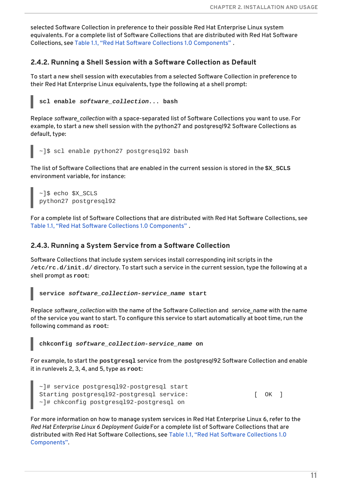selected Software Collection in preference to their possible Red Hat Enterprise Linux system equivalents. For a complete list of Software Collections that are distributed with Red Hat Software Collections, see Table 1.1, "Red Hat Software Collections 1.0 [Components"](#page-7-2) .

### <span id="page-14-0"></span>**2.4.2. Running a Shell Session with a Software Collection as Default**

To start a new shell session with executables from a selected Software Collection in preference to their Red Hat Enterprise Linux equivalents, type the following at a shell prompt:

```
scl enable software_collection... bash
```
Replace *software\_collection* with a space-separated list of Software Collections you want to use. For example, to start a new shell session with the python27 and postgresql92 Software Collections as default, type:

```
~]$ scl enable python27 postgresql92 bash
```
The list of Software Collections that are enabled in the current session is stored in the **\$X\_SCLS** environment variable, for instance:

```
~]$ echo $X_SCLS
python27 postgresql92
```
For a complete list of Software Collections that are distributed with Red Hat Software Collections, see Table 1.1, "Red Hat Software Collections 1.0 [Components"](#page-7-2) .

### <span id="page-14-1"></span>**2.4.3. Running a System Service from a Software Collection**

Software Collections that include system services install corresponding init scripts in the **/etc/rc.d/init.d/** directory. To start such a service in the current session, type the following at a shell prompt as **root**:

**service** *software\_collection***-***service\_name* **start**

Replace *software\_collection* with the name of the Software Collection and *service\_name* with the name of the service you want to start. To configure this service to start automatically at boot time, run the following command as **root**:

**chkconfig** *software\_collection***-***service\_name* **on**

For example, to start the **postgresql** service from the postgresql92 Software Collection and enable it in runlevels 2, 3, 4, and 5, type as **root**:

```
~]# service postgresql92-postgresql start
Starting postgresql92-postgresql service: [ OK ]
~]# chkconfig postgresql92-postgresql on
```
For more information on how to manage system services in Red Hat Enterprise Linux 6, refer to the *Red Hat Enterprise Linux 6 Deployment Guide*. For a complete list of Software Collections that are distributed with Red Hat Software Collections, see Table 1.1, "Red Hat Software Collections 1.0 [Components".](#page-7-2)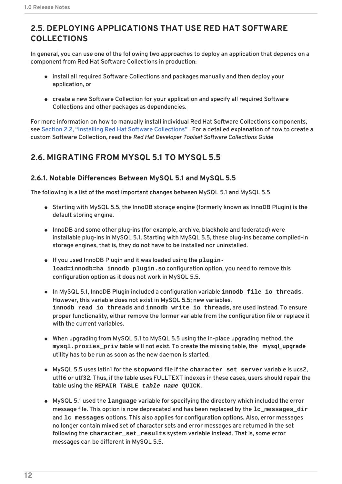# <span id="page-15-0"></span>**2.5. DEPLOYING APPLICATIONS THAT USE RED HAT SOFTWARE COLLECTIONS**

In general, you can use one of the following two approaches to deploy an application that depends on a component from Red Hat Software Collections in production:

- install all required Software Collections and packages manually and then deploy your application, or
- create a new Software Collection for your application and specify all required Software Collections and other packages as dependencies.

For more information on how to manually install individual Red Hat Software Collections components, see Section 2.2, "Installing Red Hat Software [Collections"](#page-12-2) . For a detailed explanation of how to create a custom Software Collection, read the *Red Hat Developer Toolset Software Collections Guide*.

# <span id="page-15-1"></span>**2.6. MIGRATING FROM MYSQL 5.1 TO MYSQL 5.5**

### <span id="page-15-2"></span>**2.6.1. Notable Differences Between MySQL 5.1 and MySQL 5.5**

The following is a list of the most important changes between MySQL 5.1 and MySQL 5.5

- Starting with MySQL 5.5, the InnoDB storage engine (formerly known as InnoDB Plugin) is the default storing engine.
- InnoDB and some other plug-ins (for example, archive, blackhole and federated) were installable plug-ins in MySQL 5.1. Starting with MySQL 5.5, these plug-ins became compiled-in storage engines, that is, they do not have to be installed nor uninstalled.
- If you used InnoDB Plugin and it was loaded using the **pluginload=innodb=ha\_innodb\_plugin.so** configuration option, you need to remove this configuration option as it does not work in MySQL 5.5.
- In MySQL 5.1, InnoDB Plugin included a configuration variable **innodb\_file\_io\_threads**. However, this variable does not exist in MySQL 5.5; new variables, **innodb\_read\_io\_threads** and **innodb\_write\_io\_threads**, are used instead. To ensure proper functionality, either remove the former variable from the configuration file or replace it with the current variables.
- When upgrading from MySQL 5.1 to MySQL 5.5 using the in-place upgrading method, the **mysql.proxies\_priv** table will not exist. To create the missing table, the **mysql\_upgrade** utility has to be run as soon as the new daemon is started.
- MySQL 5.5 uses latin1 for the **stopword** file if the **character\_set\_server** variable is ucs2, utf16 or utf32. Thus, if the table uses FULLTEXT indexes in these cases, users should repair the table using the **REPAIR TABLE** *table\_name* **QUICK**.
- MySQL 5.1 used the **language** variable for specifying the directory which included the error message file. This option is now deprecated and has been replaced by the **lc\_messages\_dir** and **lc\_messages** options. This also applies for configuration options. Also, error messages no longer contain mixed set of character sets and error messages are returned in the set following the **character\_set\_results** system variable instead. That is, some error messages can be different in MySQL 5.5.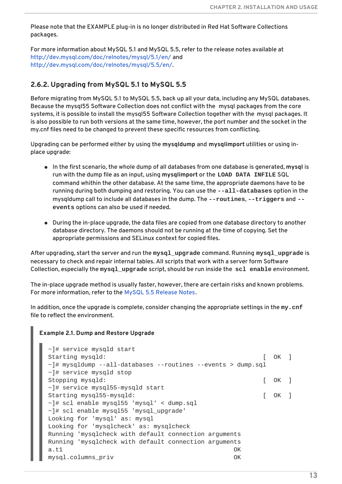Please note that the EXAMPLE plug-in is no longer distributed in Red Hat Software Collections packages.

For more information about MySQL 5.1 and MySQL 5.5, refer to the release notes available at <http://dev.mysql.com/doc/relnotes/mysql/5.1/en/> and [http://dev.mysql.com/doc/relnotes/mysql/5.5/en/.](http://dev.mysql.com/doc/relnotes/mysql/5.5/en/)

### <span id="page-16-0"></span>**2.6.2. Upgrading from MySQL 5.1 to MySQL 5.5**

Before migrating from MySQL 5.1 to MySQL 5.5, back up all your data, including any MySQL databases. Because the mysql55 Software Collection does not conflict with the mysql packages from the core systems, it is possible to install the mysql55 Software Collection together with the mysql packages. It is also possible to run both versions at the same time, however, the port number and the socket in the my.cnf files need to be changed to prevent these specific resources from conflicting.

Upgrading can be performed either by using the **mysqldump** and **mysqlimport** utilities or using inplace upgrade:

- In the first scenario, the whole dump of all databases from one database is generated, **mysql** is run with the dump file as an input, using **mysqlimport** or the **LOAD DATA INFILE** SQL command whithin the other database. At the same time, the appropriate daemons have to be running during both dumping and restoring. You can use the **--all-databases** option in the mysqldump call to include all databases in the dump. The **--routines**, **--triggers** and **- events** options can also be used if needed.
- During the in-place upgrade, the data files are copied from one database directory to another database directory. The daemons should not be running at the time of copying. Set the appropriate permissions and SELinux context for copied files.

After upgrading, start the server and run the **mysql\_upgrade** command. Running **mysql\_upgrade** is necessary to check and repair internal tables. All scripts that work with a server form Software Collection, especially the **mysql\_upgrade** script, should be run inside the **scl enable** environment.

The in-place upgrade method is usually faster, however, there are certain risks and known problems. For more information, refer to the MySQL 5.5 [Release](http://dev.mysql.com/doc/relnotes/mysql/5.5/en/) Notes.

In addition, once the upgrade is complete, consider changing the appropriate settings in the **my.cnf** file to reflect the environment.

#### **Example 2.1. Dump and Restore Upgrade**

```
~]# service mysqld start
Starting mysqld: [ OK ]
\nu = \nu mysqldump --all-databases --routines --events > dump.sql
~]# service mysqld stop
Stopping mysqld: [ OK ]
~]# service mysql55-mysqld start
Starting mysql55-mysqld: [ OK ]
~]# scl enable mysql55 'mysql' < dump.sql
~]# scl enable mysql55 'mysql_upgrade'
Looking for 'mysql' as: mysql
Looking for 'mysqlcheck' as: mysqlcheck
Running 'mysqlcheck with default connection arguments
Running 'mysqlcheck with default connection arguments
a.t1 OK
mysql.columns_priv OK
```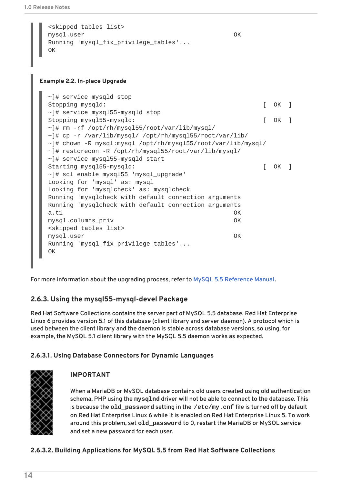```
<skipped tables list>
mysql.user OK
Running 'mysql_fix_privilege_tables'...
OK
```
#### **Example 2.2. In-place Upgrade**

```
~]# service mysqld stop
Stopping mysqld: [ OK ]
~]# service mysql55-mysqld stop
Stopping mysql55-mysqld: [ OK ]
~]# rm -rf /opt/rh/mysql55/root/var/lib/mysql/
~]# cp -r /var/lib/mysql/ /opt/rh/mysql55/root/var/lib/
~]# chown -R mysql:mysql /opt/rh/mysql55/root/var/lib/mysql/
~]# restorecon -R /opt/rh/mysql55/root/var/lib/mysql/
~]# service mysql55-mysqld start
Starting mysql55-mysqld: [ OK ]
~]# scl enable mysql55 'mysql_upgrade'
Looking for 'mysql' as: mysql
Looking for 'mysqlcheck' as: mysqlcheck
Running 'mysqlcheck with default connection arguments
Running 'mysqlcheck with default connection arguments
a.t1 OK
mysql.columns_priv OK
<skipped tables list>
mysql.user OK
Running 'mysql_fix_privilege_tables'...
OK
```
For more information about the upgrading process, refer to MySQL 5.5 [Reference](http://dev.mysql.com/doc/refman/5.5/en/upgrading-from-previous-series.html) Manual .

### <span id="page-17-0"></span>**2.6.3. Using the mysql55-mysql-devel Package**

Red Hat Software Collections contains the server part of MySQL 5.5 database. Red Hat Enterprise Linux 6 provides version 5.1 of this database (client library and server daemon). A protocol which is used between the client library and the daemon is stable across database versions, so using, for example, the MySQL 5.1 client library with the MySQL 5.5 daemon works as expected.

### <span id="page-17-1"></span>**2.6.3.1. Using Database Connectors for Dynamic Languages**



### **IMPORTANT**

When a MariaDB or MySQL database contains old users created using old authentication schema, PHP using the **mysqlnd** driver will not be able to connect to the database. This is because the **old\_password** setting in the **/etc/my.cnf** file is turned off by default on Red Hat Enterprise Linux 6 while it is enabled on Red Hat Enterprise Linux 5. To work around this problem, set **old\_password** to 0, restart the MariaDB or MySQL service and set a new password for each user.

### <span id="page-17-2"></span>**2.6.3.2. Building Applications for MySQL 5.5 from Red Hat Software Collections**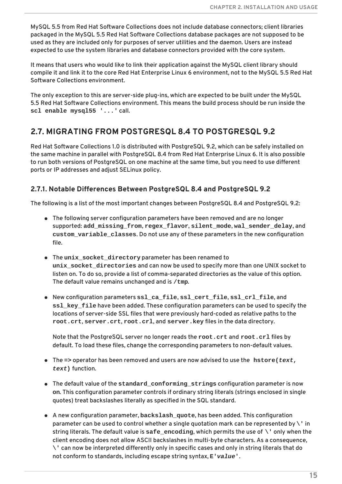MySQL 5.5 from Red Hat Software Collections does not include database connectors; client libraries packaged in the MySQL 5.5 Red Hat Software Collections database packages are not supposed to be used as they are included only for purposes of server utilities and the daemon. Users are instead expected to use the system libraries and database connectors provided with the core system.

It means that users who would like to link their application against the MySQL client library should compile it and link it to the core Red Hat Enterprise Linux 6 environment, not to the MySQL 5.5 Red Hat Software Collections environment.

The only exception to this are server-side plug-ins, which are expected to be built under the MySQL 5.5 Red Hat Software Collections environment. This means the build process should be run inside the **scl enable mysql55 '...'** call.

### <span id="page-18-0"></span>**2.7. MIGRATING FROM POSTGRESQL 8.4 TO POSTGRESQL 9.2**

Red Hat Software Collections 1.0 is distributed with PostgreSQL 9.2, which can be safely installed on the same machine in parallel with PostgreSQL 8.4 from Red Hat Enterprise Linux 6. It is also possible to run both versions of PostgreSQL on one machine at the same time, but you need to use different ports or IP addresses and adjust SELinux policy.

### <span id="page-18-1"></span>**2.7.1. Notable Differences Between PostgreSQL 8.4 and PostgreSQL 9.2**

The following is a list of the most important changes between PostgreSQL 8.4 and PostgreSQL 9.2:

- The following server configuration parameters have been removed and are no longer supported: **add\_missing\_from**, **regex\_flavor**, **silent\_mode**, **wal\_sender\_delay**, and **custom\_variable\_classes**. Do not use any of these parameters in the new configuration file.
- The **unix\_socket\_directory** parameter has been renamed to **unix\_socket\_directories** and can now be used to specify more than one UNIX socket to listen on. To do so, provide a list of comma-separated directories as the value of this option. The default value remains unchanged and is **/tmp**.
- New configuration parameters **ssl\_ca\_file**, **ssl\_cert\_file**, **ssl\_crl\_file**, and **ssl\_key\_file** have been added. These configuration parameters can be used to specify the locations of server-side SSL files that were previously hard-coded as relative paths to the **root.crt**, **server.crt**, **root.crl**, and **server.key** files in the data directory.

Note that the PostgreSQL server no longer reads the **root.crt** and **root.crl** files by default. To load these files, change the corresponding parameters to non-default values.

- The **=>** operator has been removed and users are now advised to use the **hstore(***text***,** *text***)** function.
- The default value of the **standard\_conforming\_strings** configuration parameter is now **on**. This configuration parameter controls if ordinary string literals (strings enclosed in single quotes) treat backslashes literally as specified in the SQL standard.
- A new configuration parameter, **backslash\_quote**, has been added. This configuration parameter can be used to control whether a single quotation mark can be represented by **\'** in string literals. The default value is **safe\_encoding**, which permits the use of **\'** only when the client encoding does not allow ASCII backslashes in multi-byte characters. As a consequence, **\'** can now be interpreted differently only in specific cases and only in string literals that do not conform to standards, including escape string syntax, **E'***value***'**.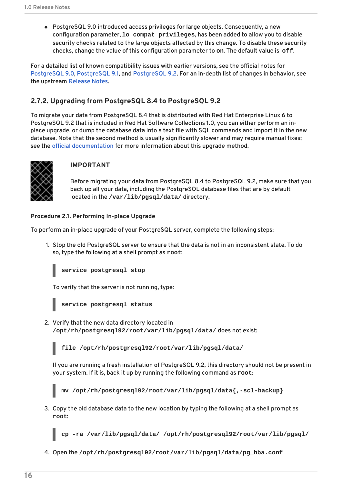PostgreSQL 9.0 introduced access privileges for large objects. Consequently, a new configuration parameter, **lo\_compat\_privileges**, has been added to allow you to disable security checks related to the large objects affected by this change. To disable these security checks, change the value of this configuration parameter to **on**. The default value is **off**.

For a detailed list of known compatibility issues with earlier versions, see the official notes for [PostgreSQL](http://wiki.postgresql.org/wiki/What%27s_new_in_PostgreSQL_9.0#Backwards_Compatibility_and_Upgrade_Issues) 9.0, [PostgreSQL](http://wiki.postgresql.org/wiki/What%27s_new_in_PostgreSQL_9.1#Backward_compatibility_issues) 9.1, and [PostgreSQL](http://wiki.postgresql.org/wiki/What%27s_new_in_PostgreSQL_9.2#Backward_compatibility) 9.2. For an in-depth list of changes in behavior, see the upstream [Release](http://www.postgresql.org/docs/9.2/static/release.html) Notes.

### <span id="page-19-0"></span>**2.7.2. Upgrading from PostgreSQL 8.4 to PostgreSQL 9.2**

To migrate your data from PostgreSQL 8.4 that is distributed with Red Hat Enterprise Linux 6 to PostgreSQL 9.2 that is included in Red Hat Software Collections 1.0, you can either perform an inplace upgrade, or dump the database data into a text file with SQL commands and import it in the new database. Note that the second method is usually significantly slower and may require manual fixes; see the official [documentation](http://www.postgresql.org/docs/9.2/static/backup-dump.html#BACKUP-DUMP-ALL) for more information about this upgrade method.



### **IMPORTANT**

Before migrating your data from PostgreSQL 8.4 to PostgreSQL 9.2, make sure that you back up all your data, including the PostgreSQL database files that are by default located in the **/var/lib/pgsql/data/** directory.

### **Procedure 2.1. Performing In-place Upgrade**

To perform an in-place upgrade of your PostgreSQL server, complete the following steps:

1. Stop the old PostgreSQL server to ensure that the data is not in an inconsistent state. To do so, type the following at a shell prompt as **root**:

**service postgresql stop**

To verify that the server is not running, type:



2. Verify that the new data directory located in **/opt/rh/postgresql92/root/var/lib/pgsql/data/** does not exist:

**file /opt/rh/postgresql92/root/var/lib/pgsql/data/**

If you are running a fresh installation of PostgreSQL 9.2, this directory should not be present in your system. If it is, back it up by running the following command as **root**:

**mv /opt/rh/postgresql92/root/var/lib/pgsql/data{,-scl-backup}**

3. Copy the old database data to the new location by typing the following at a shell prompt as **root**:

**cp -ra /var/lib/pgsql/data/ /opt/rh/postgresql92/root/var/lib/pgsql/**

4. Open the **/opt/rh/postgresql92/root/var/lib/pgsql/data/pg\_hba.conf**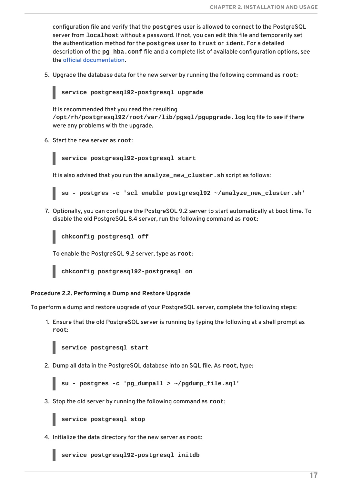configuration file and verify that the **postgres** user is allowed to connect to the PostgreSQL server from **localhost** without a password. If not, you can edit this file and temporarily set the authentication method for the **postgres** user to **trust** or **ident**. For a detailed description of the **pg\_hba.conf** file and a complete list of available configuration options, see the official [documentation](http://www.postgresql.org/docs/9.2/static/auth-pg-hba-conf.html).

5. Upgrade the database data for the new server by running the following command as **root**:

### **service postgresql92-postgresql upgrade**

It is recommended that you read the resulting **/opt/rh/postgresql92/root/var/lib/pgsql/pgupgrade.log** log file to see if there were any problems with the upgrade.

6. Start the new server as **root**:

**service postgresql92-postgresql start**

It is also advised that you run the **analyze\_new\_cluster.sh** script as follows:

**su - postgres -c 'scl enable postgresql92 ~/analyze\_new\_cluster.sh'**

7. Optionally, you can configure the PostgreSQL 9.2 server to start automatically at boot time. To disable the old PostgreSQL 8.4 server, run the following command as **root**:

**chkconfig postgresql off**

To enable the PostgreSQL 9.2 server, type as **root**:

**chkconfig postgresql92-postgresql on**

#### **Procedure 2.2. Performing a Dump and Restore Upgrade**

To perform a dump and restore upgrade of your PostgreSQL server, complete the following steps:

1. Ensure that the old PostgreSQL server is running by typing the following at a shell prompt as **root**:

**service postgresql start**

2. Dump all data in the PostgreSQL database into an SQL file. As **root**, type:

**su - postgres -c 'pg\_dumpall > ~/pgdump\_file.sql'**

3. Stop the old server by running the following command as **root**:

**service postgresql stop**

4. Initialize the data directory for the new server as **root**:

**service postgresql92-postgresql initdb**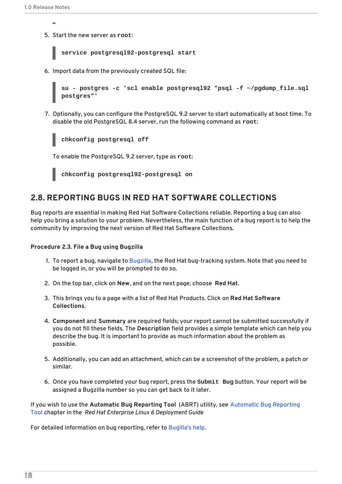- 
- 5. Start the new server as **root**:

```
service postgresql92-postgresql start
```
6. Import data from the previously created SQL file:

```
su - postgres -c 'scl enable postgresql92 "psql -f ~/pgdump_file.sql
postgres"'
```
7. Optionally, you can configure the PostgreSQL 9.2 server to start automatically at boot time. To disable the old PostgreSQL 8.4 server, run the following command as **root**:

**chkconfig postgresql off**

To enable the PostgreSQL 9.2 server, type as **root**:

**chkconfig postgresql92-postgresql on**

### <span id="page-21-0"></span>**2.8. REPORTING BUGS IN RED HAT SOFTWARE COLLECTIONS**

Bug reports are essential in making Red Hat Software Collections reliable. Reporting a bug can also help you bring a solution to your problem. Nevertheless, the main function of a bug report is to help the community by improving the next version of Red Hat Software Collections.

#### **Procedure 2.3. File a Bug using Bugzilla**

- 1. To report a bug, navigate to [Bugzilla](https://bugzilla.redhat.com/), the Red Hat bug-tracking system. Note that you need to be logged in, or you will be prompted to do so.
- 2. On the top bar, click on **New**, and on the next page, choose **Red Hat**.
- 3. This brings you to a page with a list of Red Hat Products. Click on **Red Hat Software Collections**.
- 4. **Component** and **Summary** are required fields; your report cannot be submitted successfully if you do not fill these fields. The **Description** field provides a simple template which can help you describe the bug. It is important to provide as much information about the problem as possible.
- 5. Additionally, you can add an attachment, which can be a screenshot of the problem, a patch or similar.
- 6. Once you have completed your bug report, press the **Submit Bug** button. Your report will be assigned a Bugzilla number so you can get back to it later.

If you wish to use the **Automatic Bug Reporting Tool** (ABRT) utility, see Automatic Bug Reporting Tool chapter in the *Red Hat Enterprise Linux 6 [Deployment](https://access.redhat.com/site/documentation/en-US/Red_Hat_Enterprise_Linux/6/html/Deployment_Guide/ch-abrt.html) Guide*.

For detailed information on bug reporting, refer to [Bugilla's](https://bugzilla.redhat.com/docs/en/html/bugreports.html) help.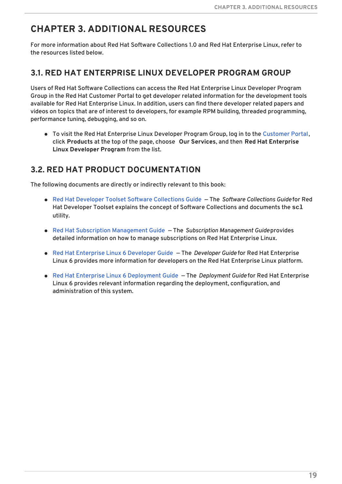# <span id="page-22-0"></span>**CHAPTER 3. ADDITIONAL RESOURCES**

For more information about Red Hat Software Collections 1.0 and Red Hat Enterprise Linux, refer to the resources listed below.

### <span id="page-22-1"></span>**3.1. RED HAT ENTERPRISE LINUX DEVELOPER PROGRAM GROUP**

Users of Red Hat Software Collections can access the Red Hat Enterprise Linux Developer Program Group in the Red Hat Customer Portal to get developer related information for the development tools available for Red Hat Enterprise Linux. In addition, users can find there developer related papers and videos on topics that are of interest to developers, for example RPM building, threaded programming, performance tuning, debugging, and so on.

To visit the Red Hat Enterprise Linux Developer Program Group, log in to the [Customer](https://access.redhat.com/) Portal, click **Products** at the top of the page, choose **Our Services**, and then **Red Hat Enterprise Linux Developer Program** from the list.

# <span id="page-22-2"></span>**3.2. RED HAT PRODUCT DOCUMENTATION**

The following documents are directly or indirectly relevant to this book:

- Red Hat Developer Toolset Software [Collections](https://access.redhat.com/site/documentation/en-US/Red_Hat_Developer_Toolset/1/html/Software_Collections_Guide/index.html) Guide The *Software Collections Guide* for Red Hat Developer Toolset explains the concept of Software Collections and documents the **scl** utility.
- Red Hat Subscription [Management](https://access.redhat.com/site/documentation/en-US/Red_Hat_Subscription_Management/1.0/html/Subscription_Management_Guide/index.html) Guide The *Subscription Management Guide*provides detailed information on how to manage subscriptions on Red Hat Enterprise Linux.
- Red Hat [Enterprise](https://access.redhat.com/site/documentation/en-US/Red_Hat_Enterprise_Linux/6/html/Developer_Guide/index.html) Linux 6 Developer Guide The *Developer Guide* for Red Hat Enterprise Linux 6 provides more information for developers on the Red Hat Enterprise Linux platform.
- Red Hat Enterprise Linux 6 [Deployment](https://access.redhat.com/site/documentation/en-US/Red_Hat_Enterprise_Linux/6/html/Deployment_Guide/index.html) Guide The *Deployment Guide* for Red Hat Enterprise Linux 6 provides relevant information regarding the deployment, configuration, and administration of this system.